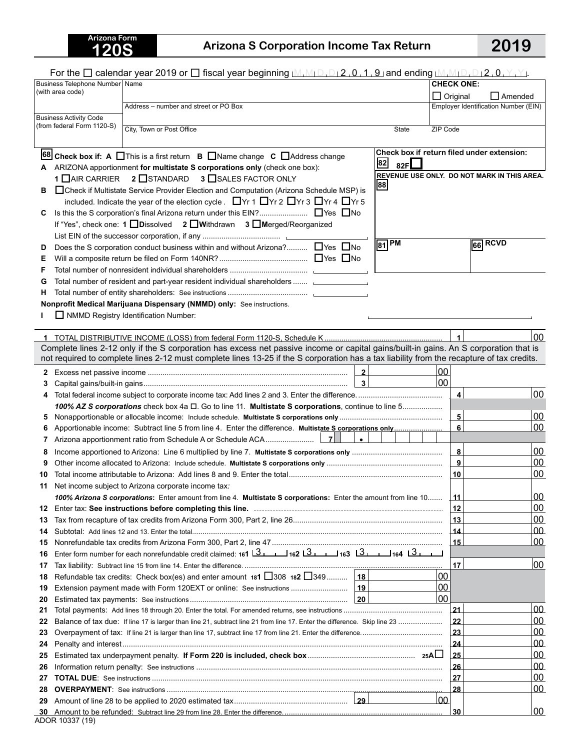# **120S Arizona S Corporation Income Tax Return 2019**

|          | For the $\Box$ calendar year 2019 or $\Box$ fiscal year beginning $\Box$ , $\Box_1\Box_2$ , 0, 1, 9 and ending $\Box$ , $\Box_1\Box_1\Box_1\Box_2$ , 0, $\Box$ , $\Box$                                      |                                   |                                             |
|----------|--------------------------------------------------------------------------------------------------------------------------------------------------------------------------------------------------------------|-----------------------------------|---------------------------------------------|
|          | Business Telephone Number   Name<br>(with area code)                                                                                                                                                         | <b>CHECK ONE:</b>                 |                                             |
|          |                                                                                                                                                                                                              | $\Box$ Original<br>$\Box$ Amended |                                             |
|          | Address - number and street or PO Box                                                                                                                                                                        |                                   | Employer Identification Number (EIN)        |
|          | <b>Business Activity Code</b><br>(from federal Form 1120-S)                                                                                                                                                  |                                   |                                             |
|          | City, Town or Post Office<br>State                                                                                                                                                                           | ZIP Code                          |                                             |
|          |                                                                                                                                                                                                              |                                   | Check box if return filed under extension:  |
|          | 68 Check box if: A $\Box$ This is a first return $\Box$ Name change $\Box$ Address change<br>82<br>82F                                                                                                       |                                   |                                             |
|          | A ARIZONA apportionment for multistate S corporations only (check one box):                                                                                                                                  |                                   | REVENUE USE ONLY. DO NOT MARK IN THIS AREA. |
|          | 1 DAIR CARRIER 2 DSTANDARD<br>3 SALES FACTOR ONLY<br> 88                                                                                                                                                     |                                   |                                             |
| в        | □ Check if Multistate Service Provider Election and Computation (Arizona Schedule MSP) is<br>included. Indicate the year of the election cycle . $\Box$ Yr 1 $\Box$ Yr 2 $\Box$ Yr 3 $\Box$ Yr 4 $\Box$ Yr 5 |                                   |                                             |
| C.       | Is this the S corporation's final Arizona return under this EIN? ■ Yes ■ No                                                                                                                                  |                                   |                                             |
|          | If "Yes", check one: 1 Dissolved 2 DWithdrawn 3 DMerged/Reorganized                                                                                                                                          |                                   |                                             |
|          |                                                                                                                                                                                                              |                                   |                                             |
| D        | $\sqrt{81}$ PM<br>Does the S corporation conduct business within and without Arizona? □ Yes □ No                                                                                                             |                                   | $66$ RCVD                                   |
| E.       |                                                                                                                                                                                                              |                                   |                                             |
| F        |                                                                                                                                                                                                              |                                   |                                             |
| G        | Total number of resident and part-year resident individual shareholders  [1986] Total number of resident and part-year resident individual shareholders                                                      |                                   |                                             |
| н.       |                                                                                                                                                                                                              |                                   |                                             |
|          | Nonprofit Medical Marijuana Dispensary (NMMD) only: See instructions.                                                                                                                                        |                                   |                                             |
|          | NMMD Registry Identification Number:                                                                                                                                                                         |                                   |                                             |
|          |                                                                                                                                                                                                              |                                   |                                             |
|          | Complete lines 2-12 only if the S corporation has excess net passive income or capital gains/built-in gains. An S corporation that is                                                                        | 1                                 | 00                                          |
|          | not required to complete lines 2-12 must complete lines 13-25 if the S corporation has a tax liability from the recapture of tax credits.                                                                    |                                   |                                             |
|          | $\overline{\mathbf{2}}$                                                                                                                                                                                      | 00                                |                                             |
| З        | $\overline{\mathbf{3}}$                                                                                                                                                                                      | 00                                |                                             |
| 4        |                                                                                                                                                                                                              | $\overline{\mathbf{4}}$           | 00                                          |
|          | 100% AZ S corporations check box 4a $\Box$ . Go to line 11. Multistate S corporations, continue to line 5                                                                                                    |                                   |                                             |
| 5        |                                                                                                                                                                                                              | $\overline{\mathbf{5}}$           | 00                                          |
|          |                                                                                                                                                                                                              | 6                                 | 00                                          |
| 7        | $\bullet$                                                                                                                                                                                                    |                                   |                                             |
| 8        |                                                                                                                                                                                                              | 8                                 | 00                                          |
| 9        |                                                                                                                                                                                                              | 9                                 | 00                                          |
| 10       |                                                                                                                                                                                                              | 10                                | 00                                          |
| 11       | Net income subject to Arizona corporate income tax:                                                                                                                                                          |                                   |                                             |
|          | 100% Arizona S corporations: Enter amount from line 4. Multistate S corporations: Enter the amount from line 10                                                                                              | _11_                              | 00<br>00                                    |
| 12       |                                                                                                                                                                                                              | 12<br>13                          | 00                                          |
| 13<br>14 |                                                                                                                                                                                                              | 14                                | 00                                          |
| 15       |                                                                                                                                                                                                              | 15                                | 00                                          |
| 16       | Enter form number for each nonrefundable credit claimed: 161   3   162   3   163   3   164   3   164                                                                                                         |                                   |                                             |
| 17       |                                                                                                                                                                                                              | 17                                | 00                                          |
| 18       | 18<br>Refundable tax credits: Check box(es) and enter amount 181 308 182 349                                                                                                                                 | 00                                |                                             |
| 19       | ∣ 19<br>Extension payment made with Form 120EXT or online: See instructions                                                                                                                                  | 00                                |                                             |
| 20       |                                                                                                                                                                                                              | 00                                |                                             |
| 21       |                                                                                                                                                                                                              | 21                                | 00                                          |
| 22       |                                                                                                                                                                                                              | 22                                | 00                                          |
| 23       |                                                                                                                                                                                                              | 23                                | 00                                          |
| 24       |                                                                                                                                                                                                              | 24                                | 00<br><u>00</u>                             |
| 25<br>26 |                                                                                                                                                                                                              | 25<br>26                          | 00                                          |
| 27       |                                                                                                                                                                                                              | 27                                | <u>00</u>                                   |
| 28       |                                                                                                                                                                                                              | 28                                | 00                                          |
| 29       |                                                                                                                                                                                                              | 00                                |                                             |
|          |                                                                                                                                                                                                              | 30                                | 00                                          |
|          |                                                                                                                                                                                                              |                                   |                                             |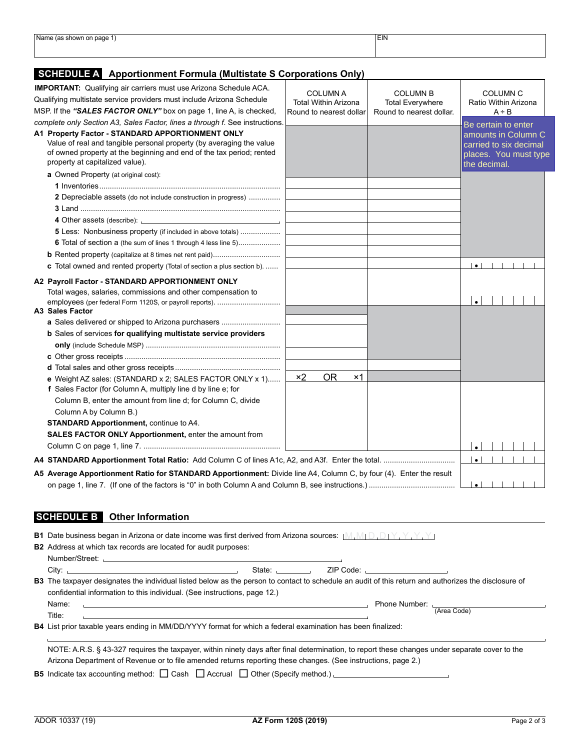| Name (as.<br>(as shown on page 1)   | <b>EIN</b> |  |
|-------------------------------------|------------|--|
| the contract of the contract of the |            |  |
|                                     |            |  |
|                                     |            |  |
|                                     |            |  |

### **SCHEDULE A Apportionment Formula (Multistate S Corporations Only)**

| <b>IMPORTANT:</b> Qualifying air carriers must use Arizona Schedule ACA.<br>Qualifying multistate service providers must include Arizona Schedule<br>MSP. If the "SALES FACTOR ONLY" box on page 1, line A, is checked,                                                                                                                                                                                                                                 | <b>COLUMN A</b><br><b>Total Within Arizona</b><br>Round to nearest dollar | <b>COLUMN B</b><br><b>Total Everywhere</b><br>Round to nearest dollar. | <b>COLUMN C</b><br>Ratio Within Arizona<br>$A \div B$                                                         |
|---------------------------------------------------------------------------------------------------------------------------------------------------------------------------------------------------------------------------------------------------------------------------------------------------------------------------------------------------------------------------------------------------------------------------------------------------------|---------------------------------------------------------------------------|------------------------------------------------------------------------|---------------------------------------------------------------------------------------------------------------|
| complete only Section A3, Sales Factor, lines a through f. See instructions.<br>A1 Property Factor - STANDARD APPORTIONMENT ONLY<br>Value of real and tangible personal property (by averaging the value<br>of owned property at the beginning and end of the tax period; rented<br>property at capitalized value).                                                                                                                                     |                                                                           |                                                                        | Be certain to enter<br>amounts in Column C<br>carried to six decimal<br>places. You must type<br>the decimal. |
| a Owned Property (at original cost):                                                                                                                                                                                                                                                                                                                                                                                                                    |                                                                           |                                                                        |                                                                                                               |
| 2 Depreciable assets (do not include construction in progress)                                                                                                                                                                                                                                                                                                                                                                                          |                                                                           |                                                                        |                                                                                                               |
| 4 Other assets (describe): \\omega_{\sigma_{\sigma_{\sigma_{\sigma_{\sigma_{\sigma_{\sigma_{\sigma_{\sigma_{\sigma_{\sigma_{\sigma_{\sigma_{\sigma_{\sigma_{\sigma_{\sigma_{\sigma_{\sigma_{\sigma_{\sigma_{\sigma_{\sigma_{\s<br><b>5</b> Less: Nonbusiness property (if included in above totals)<br>6 Total of section a (the sum of lines 1 through 4 less line 5)<br><b>c</b> Total owned and rented property (Total of section a plus section b). |                                                                           |                                                                        | $\bullet$                                                                                                     |
| A2 Payroll Factor - STANDARD APPORTIONMENT ONLY<br>Total wages, salaries, commissions and other compensation to<br>employees (per federal Form 1120S, or payroll reports).<br>A3 Sales Factor                                                                                                                                                                                                                                                           |                                                                           |                                                                        |                                                                                                               |
| a Sales delivered or shipped to Arizona purchasers<br>b Sales of services for qualifying multistate service providers                                                                                                                                                                                                                                                                                                                                   |                                                                           |                                                                        |                                                                                                               |
| e Weight AZ sales: (STANDARD x 2; SALES FACTOR ONLY x 1)                                                                                                                                                                                                                                                                                                                                                                                                | $\times 2$<br><b>OR</b><br>$\times$ 1                                     |                                                                        |                                                                                                               |
| f Sales Factor (for Column A, multiply line d by line e; for<br>Column B, enter the amount from line d; for Column C, divide<br>Column A by Column B.)<br><b>STANDARD Apportionment, continue to A4.</b>                                                                                                                                                                                                                                                |                                                                           |                                                                        |                                                                                                               |
| SALES FACTOR ONLY Apportionment, enter the amount from                                                                                                                                                                                                                                                                                                                                                                                                  |                                                                           |                                                                        |                                                                                                               |
|                                                                                                                                                                                                                                                                                                                                                                                                                                                         |                                                                           |                                                                        | $\bullet$                                                                                                     |
| A5 Average Apportionment Ratio for STANDARD Apportionment: Divide line A4, Column C, by four (4). Enter the result                                                                                                                                                                                                                                                                                                                                      |                                                                           |                                                                        | $\bullet$                                                                                                     |

### **SCHEDULE B Other Information**

| <b>B1</b> Date business began in Arizona or date income was first derived from Arizona sources: $[M_1M_1D_1D_1Y_1Y_1Y_1Y_2]$                                                                                                                                                          |
|---------------------------------------------------------------------------------------------------------------------------------------------------------------------------------------------------------------------------------------------------------------------------------------|
| <b>B2</b> Address at which tax records are located for audit purposes:                                                                                                                                                                                                                |
|                                                                                                                                                                                                                                                                                       |
| State: The State of the State of the State of the State of the State of the State of the State of the State of the State of the State of the State of the State of the State of the State of the State of the State of the Sta<br>ZIP Code: University Processing Code: 2012<br>City: |
| B3 The taxpayer designates the individual listed below as the person to contact to schedule an audit of this return and authorizes the disclosure of                                                                                                                                  |
| confidential information to this individual. (See instructions, page 12.)                                                                                                                                                                                                             |
| Name:<br>the contract of the contract of the contract of the contract of the contract of the contract of the contract of                                                                                                                                                              |
| (Area Code)<br>Title:<br><u> 1989 - Johann Stoff, amerikansk politiker (d. 1989)</u>                                                                                                                                                                                                  |
| <b>B4</b> List prior taxable years ending in MM/DD/YYYY format for which a federal examination has been finalized:                                                                                                                                                                    |
|                                                                                                                                                                                                                                                                                       |
| NOTE: A.R.S. § 43-327 requires the taxpayer, within ninety days after final determination, to report these changes under separate cover to the                                                                                                                                        |
| Arizona Department of Revenue or to file amended returns reporting these changes. (See instructions, page 2.)                                                                                                                                                                         |
| <b>B5</b> Indicate tax accounting method: $\Box$ Cash $\Box$ Accrual $\Box$ Other (Specify method.)                                                                                                                                                                                   |